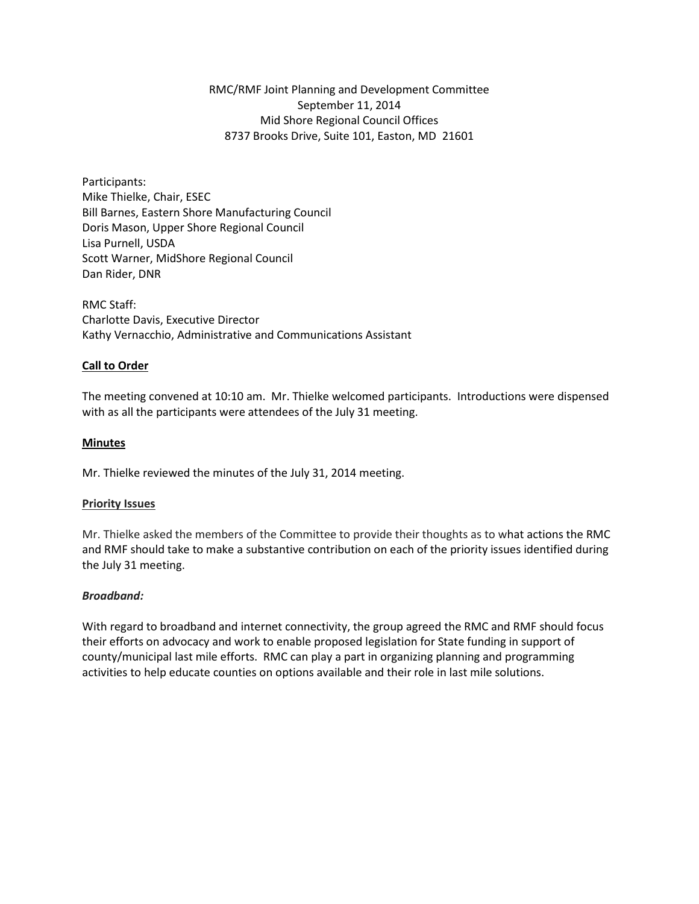RMC/RMF Joint Planning and Development Committee September 11, 2014 Mid Shore Regional Council Offices 8737 Brooks Drive, Suite 101, Easton, MD 21601

Participants: Mike Thielke, Chair, ESEC Bill Barnes, Eastern Shore Manufacturing Council Doris Mason, Upper Shore Regional Council Lisa Purnell, USDA Scott Warner, MidShore Regional Council Dan Rider, DNR

RMC Staff: Charlotte Davis, Executive Director Kathy Vernacchio, Administrative and Communications Assistant

### **Call to Order**

The meeting convened at 10:10 am. Mr. Thielke welcomed participants. Introductions were dispensed with as all the participants were attendees of the July 31 meeting.

### **Minutes**

Mr. Thielke reviewed the minutes of the July 31, 2014 meeting.

#### **Priority Issues**

Mr. Thielke asked the members of the Committee to provide their thoughts as to what actions the RMC and RMF should take to make a substantive contribution on each of the priority issues identified during the July 31 meeting.

### *Broadband:*

With regard to broadband and internet connectivity, the group agreed the RMC and RMF should focus their efforts on advocacy and work to enable proposed legislation for State funding in support of county/municipal last mile efforts. RMC can play a part in organizing planning and programming activities to help educate counties on options available and their role in last mile solutions.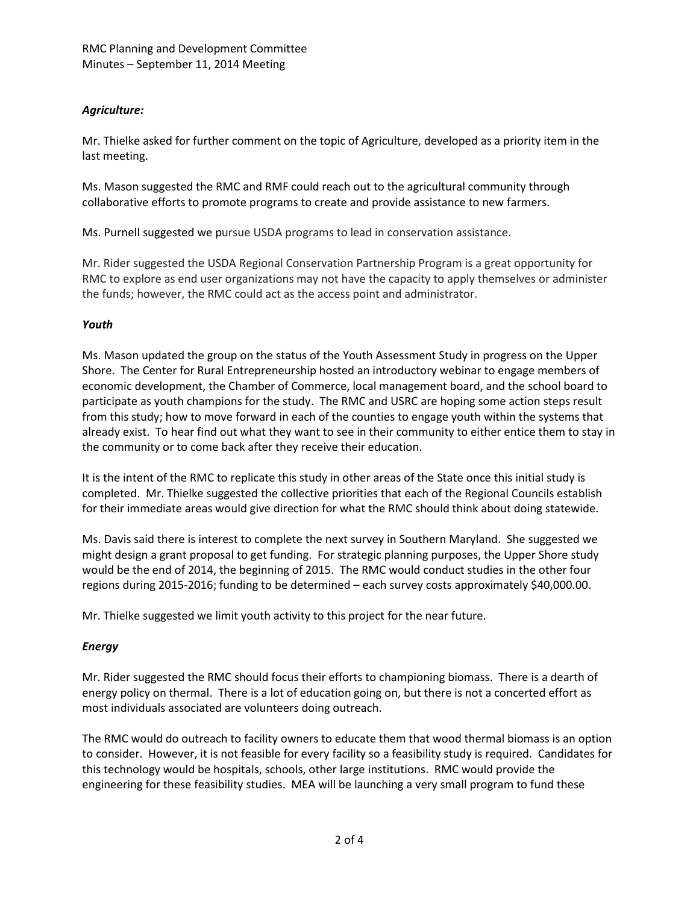# *Agriculture:*

Mr. Thielke asked for further comment on the topic of Agriculture, developed as a priority item in the last meeting.

Ms. Mason suggested the RMC and RMF could reach out to the agricultural community through collaborative efforts to promote programs to create and provide assistance to new farmers.

Ms. Purnell suggested we pursue USDA programs to lead in conservation assistance.

Mr. Rider suggested the USDA Regional Conservation Partnership Program is a great opportunity for RMC to explore as end user organizations may not have the capacity to apply themselves or administer the funds; however, the RMC could act as the access point and administrator.

## *Youth*

Ms. Mason updated the group on the status of the Youth Assessment Study in progress on the Upper Shore. The Center for Rural Entrepreneurship hosted an introductory webinar to engage members of economic development, the Chamber of Commerce, local management board, and the school board to participate as youth champions for the study. The RMC and USRC are hoping some action steps result from this study; how to move forward in each of the counties to engage youth within the systems that already exist. To hear find out what they want to see in their community to either entice them to stay in the community or to come back after they receive their education.

It is the intent of the RMC to replicate this study in other areas of the State once this initial study is completed. Mr. Thielke suggested the collective priorities that each of the Regional Councils establish for their immediate areas would give direction for what the RMC should think about doing statewide.

Ms. Davis said there is interest to complete the next survey in Southern Maryland. She suggested we might design a grant proposal to get funding. For strategic planning purposes, the Upper Shore study would be the end of 2014, the beginning of 2015. The RMC would conduct studies in the other four regions during 2015-2016; funding to be determined – each survey costs approximately \$40,000.00.

Mr. Thielke suggested we limit youth activity to this project for the near future.

# *Energy*

Mr. Rider suggested the RMC should focus their efforts to championing biomass. There is a dearth of energy policy on thermal. There is a lot of education going on, but there is not a concerted effort as most individuals associated are volunteers doing outreach.

The RMC would do outreach to facility owners to educate them that wood thermal biomass is an option to consider. However, it is not feasible for every facility so a feasibility study is required. Candidates for this technology would be hospitals, schools, other large institutions. RMC would provide the engineering for these feasibility studies. MEA will be launching a very small program to fund these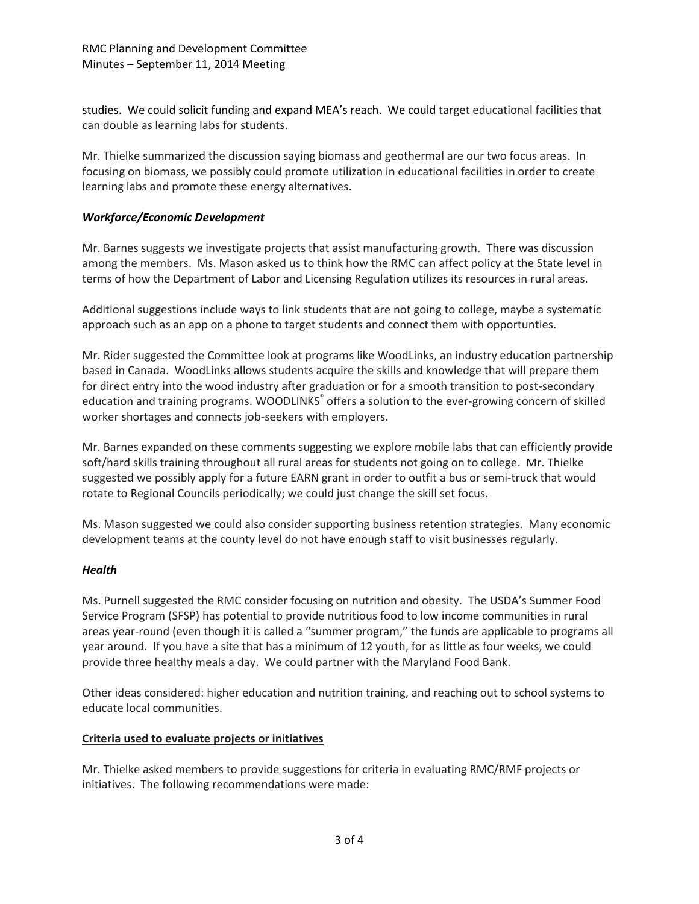studies. We could solicit funding and expand MEA's reach. We could target educational facilities that can double as learning labs for students.

Mr. Thielke summarized the discussion saying biomass and geothermal are our two focus areas. In focusing on biomass, we possibly could promote utilization in educational facilities in order to create learning labs and promote these energy alternatives.

## *Workforce/Economic Development*

Mr. Barnes suggests we investigate projects that assist manufacturing growth. There was discussion among the members. Ms. Mason asked us to think how the RMC can affect policy at the State level in terms of how the Department of Labor and Licensing Regulation utilizes its resources in rural areas.

Additional suggestions include ways to link students that are not going to college, maybe a systematic approach such as an app on a phone to target students and connect them with opportunties.

Mr. Rider suggested the Committee look at programs like WoodLinks, an industry education partnership based in Canada. WoodLinks allows students acquire the skills and knowledge that will prepare them for direct entry into the wood industry after graduation or for a smooth transition to post-secondary education and training programs. WOODLINKS<sup>®</sup> offers a solution to the ever-growing concern of skilled worker shortages and connects job-seekers with employers.

Mr. Barnes expanded on these comments suggesting we explore mobile labs that can efficiently provide soft/hard skills training throughout all rural areas for students not going on to college. Mr. Thielke suggested we possibly apply for a future EARN grant in order to outfit a bus or semi-truck that would rotate to Regional Councils periodically; we could just change the skill set focus.

Ms. Mason suggested we could also consider supporting business retention strategies. Many economic development teams at the county level do not have enough staff to visit businesses regularly.

## *Health*

Ms. Purnell suggested the RMC consider focusing on nutrition and obesity. The USDA's Summer Food Service Program (SFSP) has potential to provide nutritious food to low income communities in rural areas year-round (even though it is called a "summer program," the funds are applicable to programs all year around. If you have a site that has a minimum of 12 youth, for as little as four weeks, we could provide three healthy meals a day. We could partner with the Maryland Food Bank.

Other ideas considered: higher education and nutrition training, and reaching out to school systems to educate local communities.

## **Criteria used to evaluate projects or initiatives**

Mr. Thielke asked members to provide suggestions for criteria in evaluating RMC/RMF projects or initiatives. The following recommendations were made: